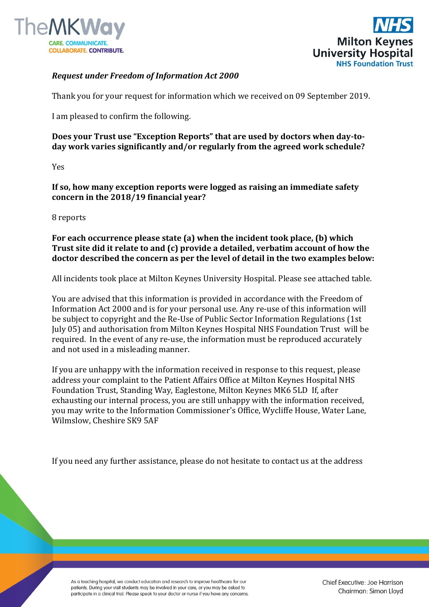



## *Request under Freedom of Information Act 2000*

Thank you for your request for information which we received on 09 September 2019.

I am pleased to confirm the following.

## **Does your Trust use "Exception Reports" that are used by doctors when day-today work varies significantly and/or regularly from the agreed work schedule?**

Yes

**If so, how many exception reports were logged as raising an immediate safety concern in the 2018/19 financial year?** 

## 8 reports

**For each occurrence please state (a) when the incident took place, (b) which Trust site did it relate to and (c) provide a detailed, verbatim account of how the doctor described the concern as per the level of detail in the two examples below:** 

All incidents took place at Milton Keynes University Hospital. Please see attached table.

You are advised that this information is provided in accordance with the Freedom of Information Act 2000 and is for your personal use. Any re-use of this information will be subject to copyright and the Re-Use of Public Sector Information Regulations (1st July 05) and authorisation from Milton Keynes Hospital NHS Foundation Trust will be required. In the event of any re-use, the information must be reproduced accurately and not used in a misleading manner.

If you are unhappy with the information received in response to this request, please address your complaint to the Patient Affairs Office at Milton Keynes Hospital NHS Foundation Trust, Standing Way, Eaglestone, Milton Keynes MK6 5LD If, after exhausting our internal process, you are still unhappy with the information received, you may write to the Information Commissioner's Office, Wycliffe House, Water Lane, Wilmslow, Cheshire SK9 5AF

If you need any further assistance, please do not hesitate to contact us at the address

As a teaching hospital, we conduct education and research to improve healthcare for our patients. During your visit students may be involved in your care, or you may be asked to participate in a clinical trial. Please speak to your doctor or nurse if you have any concerns. Chief Executive: Joe Harrison Chairman: Simon Lloyd